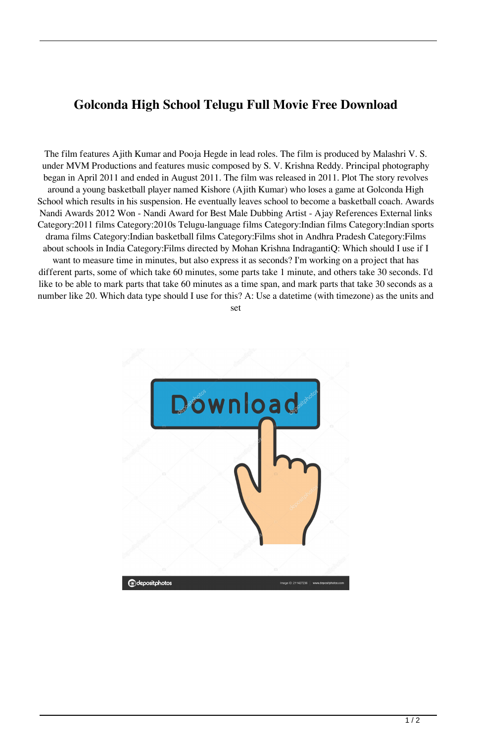## **Golconda High School Telugu Full Movie Free Download**

The film features Ajith Kumar and Pooja Hegde in lead roles. The film is produced by Malashri V. S. under MVM Productions and features music composed by S. V. Krishna Reddy. Principal photography began in April 2011 and ended in August 2011. The film was released in 2011. Plot The story revolves around a young basketball player named Kishore (Ajith Kumar) who loses a game at Golconda High School which results in his suspension. He eventually leaves school to become a basketball coach. Awards Nandi Awards 2012 Won - Nandi Award for Best Male Dubbing Artist - Ajay References External links Category:2011 films Category:2010s Telugu-language films Category:Indian films Category:Indian sports drama films Category:Indian basketball films Category:Films shot in Andhra Pradesh Category:Films about schools in India Category:Films directed by Mohan Krishna IndragantiQ: Which should I use if I

want to measure time in minutes, but also express it as seconds? I'm working on a project that has different parts, some of which take 60 minutes, some parts take 1 minute, and others take 30 seconds. I'd like to be able to mark parts that take 60 minutes as a time span, and mark parts that take 30 seconds as a number like 20. Which data type should I use for this? A: Use a datetime (with timezone) as the units and

set